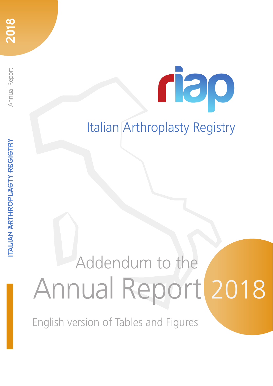Annual Report

## Italian Arthroplasty Registry

rao

# Annual Report 2018 Addendum to the

English version of Tables and Figures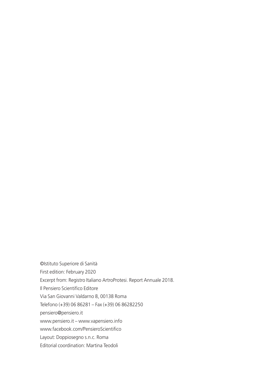©Istituto Superiore di Sanità First edition: February 2020 Excerpt from: Registro Italiano ArtroProtesi. Report Annuale 2018. Il Pensiero Scientifico Editore Via San Giovanni Valdarno 8, 00138 Roma Telefono (+39) 06 86281 – Fax (+39) 06 86282250 pensiero@pensiero.it www.pensiero.it – www.vapensiero.info www.facebook.com/PensieroScientifico Layout: Doppiosegno s.n.c. Roma Editorial coordination: Martina Teodoli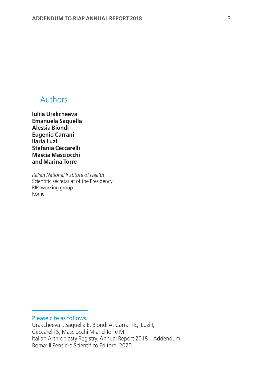#### Authors

**Iuliia Urakcheeva Emanuela Saquella Alessia Biondi Eugenio Carrani Ilaria Luzi Stefania Ceccarelli Mascia Masciocchi and Marina Torre**

*Italian National Institute of Health* Scientific secretariat of the Presidency RIPI working group Rome

Please cite as follows:

Urakcheeva I, Saquella E, Biondi A, Carrani E, Luzi I, Ceccarelli S, Masciocchi M and Torre M. Italian Arthroplasty Registry. Annual Report 2018 – Addendum. Roma: Il Pensiero Scientifico Editore, 2020.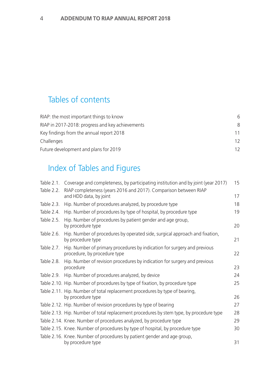#### Tables of contents

| RIAP: the most important things to know          | 6  |
|--------------------------------------------------|----|
| RIAP in 2017-2018: progress and key achievements | 8  |
| Key findings from the annual report 2018         | 11 |
| Challenges                                       | 12 |
| Future development and plans for 2019            | 12 |

### Index of Tables and Figures

| Table 2.1. | Coverage and completeness, by participating institution and by joint (year 2017)                         | 15 |
|------------|----------------------------------------------------------------------------------------------------------|----|
| Table 2.2. | RIAP completeness (years 2016 and 2017). Comparison between RIAP<br>and HDD data, by joint               | 17 |
| Table 2.3. | Hip. Number of procedures analyzed, by procedure type                                                    | 18 |
| Table 2.4. | Hip. Number of procedures by type of hospital, by procedure type                                         | 19 |
| Table 2.5. | Hip. Number of procedures by patient gender and age group,<br>by procedure type                          | 20 |
| Table 2.6. | Hip. Number of procedures by operated side, surgical approach and fixation,<br>by procedure type         | 21 |
| Table 2.7. | Hip. Number of primary procedures by indication for surgery and previous<br>procedure, by procedure type | 22 |
| Table 2.8. | Hip. Number of revision procedures by indication for surgery and previous<br>procedure                   | 23 |
|            | Table 2.9. Hip. Number of procedures analyzed, by device                                                 | 24 |
|            | Table 2.10. Hip. Number of procedures by type of fixation, by procedure type                             | 25 |
|            | Table 2.11. Hip. Number of total replacement procedures by type of bearing,<br>by procedure type         | 26 |
|            | Table 2.12. Hip. Number of revision procedures by type of bearing                                        | 27 |
|            | Table 2.13. Hip. Number of total replacement procedures by stem type, by procedure type                  | 28 |
|            | Table 2.14. Knee. Number of procedures analyzed, by procedure type                                       | 29 |
|            | Table 2.15. Knee. Number of procedures by type of hospital, by procedure type                            | 30 |
|            | Table 2.16. Knee. Number of procedures by patient gender and age group,<br>by procedure type             | 31 |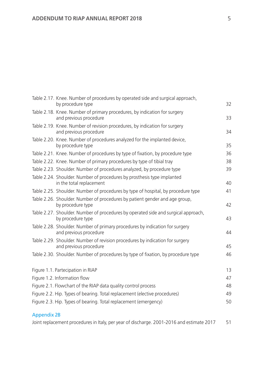|                         | Table 2.17. Knee. Number of procedures by operated side and surgical approach,<br>by procedure type     | 32 |
|-------------------------|---------------------------------------------------------------------------------------------------------|----|
|                         | Table 2.18. Knee. Number of primary procedures, by indication for surgery<br>and previous procedure     | 33 |
|                         | Table 2.19. Knee. Number of revision procedures, by indication for surgery<br>and previous procedure    | 34 |
|                         | Table 2.20. Knee. Number of procedures analyzed for the implanted device,<br>by procedure type          | 35 |
|                         | Table 2.21. Knee. Number of procedures by type of fixation, by procedure type                           | 36 |
|                         | Table 2.22. Knee. Number of primary procedures by type of tibial tray                                   | 38 |
|                         | Table 2.23. Shoulder. Number of procedures analyzed, by procedure type                                  | 39 |
|                         | Table 2.24. Shoulder. Number of procedures by prosthesis type implanted<br>in the total replacement     | 40 |
|                         | Table 2.25. Shoulder. Number of procedures by type of hospital, by procedure type                       | 41 |
|                         | Table 2.26. Shoulder. Number of procedures by patient gender and age group,<br>by procedure type        | 42 |
|                         | Table 2.27. Shoulder. Number of procedures by operated side and surgical approach,<br>by procedure type | 43 |
|                         | Table 2.28. Shoulder. Number of primary procedures by indication for surgery<br>and previous procedure  | 44 |
|                         | Table 2.29. Shoulder. Number of revision procedures by indication for surgery<br>and previous procedure | 45 |
|                         | Table 2.30. Shoulder. Number of procedures by type of fixation, by procedure type                       | 46 |
|                         | Figure 1.1. Partecipation in RIAP                                                                       | 13 |
|                         | Figure 1.2. Information flow                                                                            | 47 |
|                         | Figure 2.1. Flowchart of the RIAP data quality control process                                          | 48 |
|                         | Figure 2.2. Hip. Types of bearing. Total replacement (elective procedures)                              | 49 |
|                         | Figure 2.3. Hip. Types of bearing. Total replacement (emergency)                                        | 50 |
| <b><i>SALE SHOP</i></b> |                                                                                                         |    |

#### Appendix 2B

|  |  | Joint replacement procedures in Italy, per year of discharge. 2001-2016 and estimate 2017 |  |
|--|--|-------------------------------------------------------------------------------------------|--|
|--|--|-------------------------------------------------------------------------------------------|--|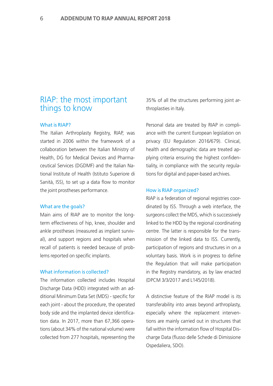#### RIAP: the most important things to know

#### What is RIAP?

The Italian Arthroplasty Registry, RIAP, was started in 2006 within the framework of a collaboration between the Italian Ministry of Health, DG for Medical Devices and Pharmaceutical Services (DGDMF) and the Italian National Institute of Health (Istituto Superiore di Sanità, ISS), to set up a data flow to monitor the joint prostheses performance.

#### What are the goals?

Main aims of RIAP are to monitor the longterm effectiveness of hip, knee, shoulder and ankle prostheses (measured as implant survival), and support regions and hospitals when recall of patients is needed because of problems reported on specific implants.

#### What information is collected?

The information collected includes Hospital Discharge Data (HDD) integrated with an additional Minimum Data Set (MDS) - specific for each joint - about the procedure, the operated body side and the implanted device identification data. In 2017, more than 67,366 operations (about 34% of the national volume) were collected from 277 hospitals, representing the

35% of all the structures performing joint arthroplasties in Italy.

Personal data are treated by RIAP in compliance with the current European legislation on privacy (EU Regulation 2016/679). Clinical, health and demographic data are treated applying criteria ensuring the highest confidentiality, in compliance with the security regulations for digital and paper-based archives.

#### How is RIAP organized?

RIAP is a federation of regional registries coordinated by ISS. Through a web interface, the surgeons collect the MDS, which is successively linked to the HDD by the regional coordinating centre. The latter is responsible for the transmission of the linked data to ISS. Currently, participation of regions and structures in on a voluntary basis. Work is in progress to define the Regulation that will make participation in the Registry mandatory, as by law enacted (DPCM 3/3/2017 and L145/2018).

A distinctive feature of the RIAP model is its transferability into areas beyond arthroplasty, especially where the replacement interventions are mainly carried out in structures that fall within the information flow of Hospital Discharge Data (flusso delle Schede di Dimissione Ospedaliera, SDO).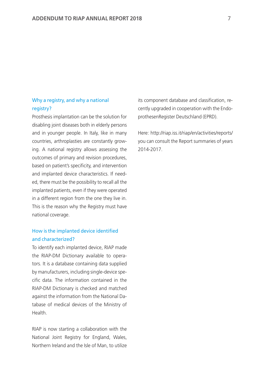#### Why a registry, and why a national registry?

Prosthesis implantation can be the solution for disabling joint diseases both in elderly persons and in younger people. In Italy, like in many countries, arthroplasties are constantly growing. A national registry allows assessing the outcomes of primary and revision procedures, based on patient's specificity, and intervention and implanted device characteristics. If needed, there must be the possibility to recall all the implanted patients, even if they were operated in a different region from the one they live in. This is the reason why the Registry must have national coverage.

#### How is the implanted device identified and characterized?

To identify each implanted device, RIAP made the RIAP-DM Dictionary available to operators. It is a database containing data supplied by manufacturers, including single-device specific data. The information contained in the RIAP-DM Dictionary is checked and matched against the information from the National Database of medical devices of the Ministry of Health.

RIAP is now starting a collaboration with the National Joint Registry for England, Wales, Northern Ireland and the Isle of Man, to utilize its component database and classification, recently upgraded in cooperation with the EndoprothesenRegister Deutschland (EPRD).

Here: http://riap.iss.it/riap/en/activities/reports/ you can consult the Report summaries of years 2014-2017.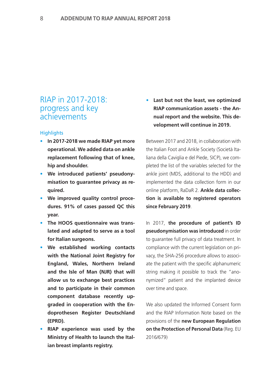#### RIAP in 2017-2018: progress and key achievements

#### **Highlights**

- **• In 2017-2018 we made RIAP yet more operational. We added data on ankle replacement following that of knee, hip and shoulder.**
- **• We introduced patients' pseudonymisation to guarantee privacy as required.**
- **• We improved quality control procedures. 91% of cases passed QC this year.**
- **• The HOOS questionnaire was translated and adapted to serve as a tool for Italian surgeons.**
- **• We established working contacts with the National Joint Registry for England, Wales, Northern Ireland and the Isle of Man (NJR) that will allow us to exchange best practices and to participate in their common component database recently upgraded in cooperation with the Endoprothesen Register Deutschland (EPRD).**
- **• RIAP experience was used by the Ministry of Health to launch the Italian breast implants registry.**

**• Last but not the least, we optimized RIAP communication assets - the Annual report and the website. This development will continue in 2019.**

Between 2017 and 2018, in collaboration with the Italian Foot and Ankle Society (Società Italiana della Caviglia e del Piede, SICP), we completed the list of the variables selected for the ankle joint (MDS, additional to the HDD) and implemented the data collection form in our online platform, RaDaR 2. **Ankle data collection is available to registered operators since February 2019**.

In 2017, **the procedure of patient's ID pseudonymisation was introduced** in order to guarantee full privacy of data treatment. In compliance with the current legislation on privacy, the SHA-256 procedure allows to associate the patient with the specific alphanumeric string making it possible to track the "anonymized" patient and the implanted device over time and space.

We also updated the Informed Consent form and the RIAP Information Note based on the provisions of the **new European Regulation on the Protection of Personal Data** (Reg. EU 2016/679)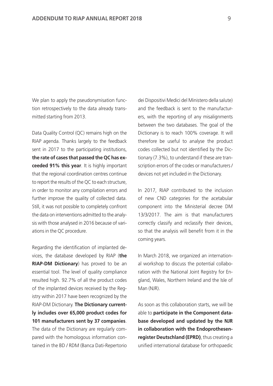We plan to apply the pseudonymisation function retrospectively to the data already transmitted starting from 2013.

Data Quality Control (QC) remains high on the RIAP agenda. Thanks largely to the feedback sent in 2017 to the participating institutions, **the rate of cases that passed the QC has exceeded 91% this year**. It is highly important that the regional coordination centres continue to report the results of the QC to each structure, in order to monitor any compilation errors and further improve the quality of collected data. Still, it was not possible to completely confront the data on interventions admitted to the analysis with those analysed in 2016 because of variations in the QC procedure.

Regarding the identification of implanted devices, the database developed by RIAP (**the RIAP-DM Dictionary**) has proved to be an essential tool. The level of quality compliance resulted high. 92.7% of all the product codes of the implanted devices received by the Registry within 2017 have been recognized by the RIAP-DM Dictionary. **The Dictionary currently includes over 65,000 product codes for 101 manufacturers sent by 37 companies**. The data of the Dictionary are regularly compared with the homologous information contained in the BD / RDM (Banca Dati-Repertorio dei Dispositivi Medici del Ministero della salute) and the feedback is sent to the manufacturers, with the reporting of any misalignments between the two databases. The goal of the Dictionary is to reach 100% coverage. It will therefore be useful to analyse the product codes collected but not identified by the Dictionary (7.3%), to understand if these are transcription errors of the codes or manufacturers / devices not yet included in the Dictionary.

In 2017, RIAP contributed to the inclusion of new CND categories for the acetabular component into the Ministerial decree DM 13/3/2017. The aim is that manufacturers correctly classify and reclassify their devices, so that the analysis will benefit from it in the coming years.

In March 2018, we organized an international workshop to discuss the potential collaboration with the National Joint Registry for England, Wales, Northern Ireland and the Isle of Man (NJR).

As soon as this collaboration starts, we will be able to **participate in the Component database developed and updated by the NJR in collaboration with the Endoprothesenregister Deutschland (EPRD)**, thus creating a unified international database for orthopaedic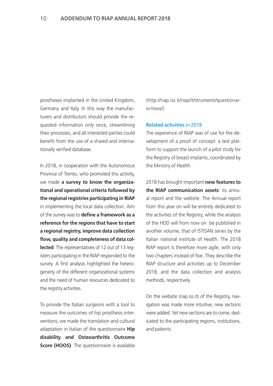prostheses implanted in the United Kingdom, Germany and Italy. In this way the manufacturers and distributors should provide the requested information only once, streamlining their processes, and all interested parties could benefit from the use of a shared and internationally verified database.

In 2018, in cooperation with the Autonomous Province of Trento, who promoted this activity, we made **a survey to know the organizational and operational criteria followed by the regional registries participating in RIAP** in implementing the local data collection. Aim of the survey was to **define a framework as a reference for the regions that have to start a regional registry, improve data collection flow, quality and completeness of data collected**. The representatives of 12 out of 13 registers participating in the RIAP responded to the survey. A first analysis highlighted the heterogeneity of the different organizational systems and the need of human resources dedicated to the registry activities.

To provide the Italian surgeons with a tool to measure the outcomes of hip prosthesis interventions, we made the translation and cultural adaptation in Italian of the questionnaire **Hip disability and Osteoarthritis Outcome Score (HOOS)**. The questionnaire is available (http://riap.iss.it/riap/it/strumenti/questionario-hoos/).

#### **Related activities** in 2018

The experience of RIAP was of use for the development of a proof of concept: a test platform to support the launch of a pilot study for the Registry of breast implants, coordinated by the Ministry of Health.

2018 has brought important **new features to the RIAP communication assets**: its annual report and the website. The Annual report from this year on will be entirely dedicated to the activities of the Registry, while the analysis of the HDD will from now on be published in another volume, that of ISTISAN series by the Italian national institute of Health. The 2018 RIAP report is therefore more agile, with only two chapters instead of five. They describe the RIAP structure and activities up to December 2018, and the data collection and analysis methods, respectively.

On the website (riap.iss.it) of the Registry, navigation was made more intuitive, new sections were added. Yet new sections are to come, dedicated to the participating regions, institutions, and patients.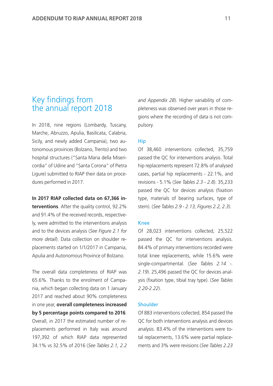#### Key findings from the annual report 2018

In 2018, nine regions (Lombardy, Tuscany, Marche, Abruzzo, Apulia, Basilicata, Calabria, Sicily, and newly added Campania), two autonomous provinces (Bolzano, Trento) and two hospital structures ("Santa Maria della Misericordia" of Udine and "Santa Corona" of Pietra Ligure) submitted to RIAP their data on procedures performed in 2017.

**In 2017 RIAP collected data on 67,366 interventions**. After the quality control, 92.2% and 91.4% of the received records, respectively, were admitted to the interventions analysis and to the devices analysis (*See Figure 2.1 for more detail*). Data collection on shoulder replacements started on 1/1/2017 in Campania, Apulia and Autonomous Province of Bolzano.

The overall data completeness of RIAP was 65.6%. Thanks to the enrolment of Campania, which began collecting data on 1 January 2017 and reached about 90% completeness in one year, **overall completeness increased by 5 percentage points compared to 2016**. Overall, in 2017 the estimated number of re-

placements performed in Italy was around 197,392 of which RIAP data represented 34.1% vs 32.5% of 2016 (*See Tables 2.1, 2.2*  *and Appendix 2B*). Higher variability of completeness was observed over years in those regions where the recording of data is not compulsory.

#### Hip

Of 38,460 interventions collected, 35,759 passed the QC for interventions analysis. Total hip replacements represent 72.8% of analysed cases, partial hip replacements - 22.1%, and revisions - 5.1% (*See Tables 2.3 - 2.8*). 35,233 passed the QC for devices analysis (fixation type, materials of bearing surfaces, type of stem). (*See Tables 2.9 - 2.13, Figures 2.2, 2.3*).

#### Knee

Of 28,023 interventions collected, 25,522 passed the QC for interventions analysis. 84.4% of primary interventions recorded were total knee replacements, while 15.6% were single-compartmental. (*See Tables 2.14 -. 2.19*). 25,496 passed the QC for devices analysis (fixation type, tibial tray type). (*See Tables 2.20-2.22*).

#### Shoulder

Of 883 interventions collected, 854 passed the QC for both interventions analysis and devices analysis. 83.4% of the interventions were total replacements, 13.6% were partial replacements and 3% were revisions (*See Tables 2.23*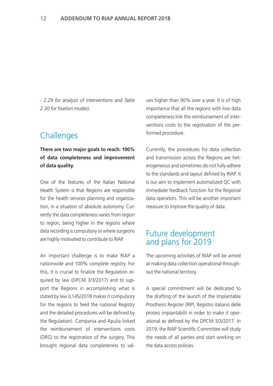*- 2.29 for analysis of interventions and Table 2.30 for fixation modes*).

#### **Challenges**

#### **There are two major goals to reach: 100% of data completeness and improvement of data quality.**

One of the features of the Italian National Health System is that Regions are responsible for the health services planning and organization, in a situation of absolute autonomy. Currently the data completeness varies from region to region, being higher in the regions where data recording is compulsory or where surgeons are highly motivated to contribute to RIAP.

An important challenge is to make RIAP a nationwide and 100% complete registry. For this, it is crucial to finalize the Regulation required by law (DPCM 3/3/2017) and to support the Regions in accomplishing what is stated by law (L145/2018 makes it compulsory for the regions to feed the national Registry and the detailed procedures will be defined by the Regulation). Campania and Apulia linked the reimbursement of interventions costs (DRG) to the registration of the surgery. This brought regional data completeness to val-

ues higher than 90% over a year. It is of high importance that all the regions with low data completeness link the reimbursement of interventions costs to the registration of the performed procedure.

Currently, the procedures for data collection and transmission across the Regions are heterogeneous and sometimes do not fully adhere to the standards and layout defined by RIAP. It is our aim to implement automatized QC with immediate feedback function for the Regional data operators. This will be another important measure to improve the quality of data.

#### Future development and plans for 2019

The upcoming activities of RIAP will be aimed at making data collection operational throughout the national territory.

A special commitment will be dedicated to the drafting of the launch of the Implantable Prosthesis Register (RIPI, Registro italiano delle protesi impiantabili) in order to make it operational as defined by the DPCM 3/3/2017. In 2019, the RIAP Scientific Committee will study the needs of all parties and start working on the data access policies.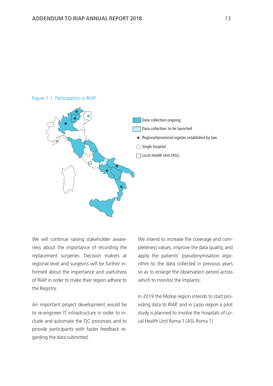#### Figure 1.1. Participation in RIAP



We will continue raising stakeholder awareness about the importance of recording the replacement surgeries. Decision makers at regional level and surgeons will be further informed about the importance and usefulness of RIAP in order to make their region adhere to the Registry.

An important project development would be to re-engineer IT infrastructure in order to include and automate the QC processes and to provide participants with faster feedback regarding the data submitted.

We intend to increase the coverage and completeness values, improve the data quality, and apply the patients' pseudonymisation algorithm to the data collected in previous years so as to enlarge the observation period across which to monitor the implants.

In 2019 the Molise region intends to start providing data to RIAP, and in Lazio region a pilot study is planned to involve the hospitals of Local Health Unit Roma 1 (ASL Roma 1).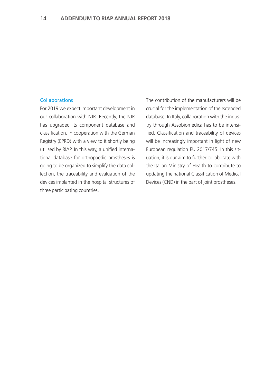#### Collaborations

For 2019 we expect important development in our collaboration with NJR. Recently, the NJR has upgraded its component database and classification, in cooperation with the German Registry (EPRD) with a view to it shortly being utilised by RIAP. In this way, a unified international database for orthopaedic prostheses is going to be organized to simplify the data collection, the traceability and evaluation of the devices implanted in the hospital structures of three participating countries.

The contribution of the manufacturers will be crucial for the implementation of the extended database. In Italy, collaboration with the industry through Assobiomedica has to be intensified. Classification and traceability of devices will be increasingly important in light of new European regulation EU 2017/745. In this situation, it is our aim to further collaborate with the Italian Ministry of Health to contribute to updating the national Classification of Medical Devices (CND) in the part of joint prostheses.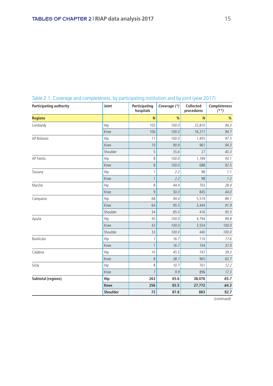| <b>Participating authority</b> | Joint       | Participating<br>hospitals | Coverage (*) | <b>Collected</b><br>procedures | Completeness<br>$(**)$ |
|--------------------------------|-------------|----------------------------|--------------|--------------------------------|------------------------|
| <b>Regions</b>                 |             | N                          | %            | N                              | $\%$                   |
| Lombardy                       | Hip         | 103                        | 100.0        | 22,810                         | 94.3                   |
|                                | Knee        | 106                        | 100.0        | 16,217                         | 94.7                   |
| AP Bolzano                     | Hip         | 11                         | 100.0        | 1,405                          | 97.5                   |
|                                | Knee        | 10                         | 90.9         | 961                            | 94.3                   |
|                                | Shoulder    | 5                          | 55.6         | 27                             | 40.3                   |
| AP Trento                      | Hip         | 8                          | 100.0        | 1,189                          | 93.1                   |
|                                | Knee        | 8                          | 100.0        | 688                            | 92.5                   |
| Tuscany                        | Hip         | 1                          | 2.2          | 98                             | 1.1                    |
|                                | Knee        | $\mathbf{1}$               | 2.2          | 98                             | 1.2                    |
| Marche                         | Hip         | 8                          | 44.4         | 703                            | 28.4                   |
|                                | Knee        | 9                          | 50.0         | 845                            | 44.0                   |
| Campania                       | Hip         | 68                         | 94.4         | 5,519                          | 89.1                   |
|                                | Knee        | 64                         | 95.5         | 3,444                          | 91.9                   |
|                                | Shoulder    | 34                         | 85.0         | 416                            | 93.3                   |
| Apulia                         | Hip         | 45                         | 100.0        | 4,794                          | 99.8                   |
|                                | Knee        | 42                         | 100.0        | 3,554                          | 100.0                  |
|                                | Shoulder    | 33                         | 100.0        | 440                            | 100.0                  |
| Basilicata                     | Hip         | $\mathbf{1}$               | 16.7         | 110                            | 17.6                   |
|                                | Knee        | $\mathbf{1}$               | 16.7         | 104                            | 37.0                   |
| Calabria                       | Hip         | 10                         | 45.5         | 747                            | 39.3                   |
|                                | Knee        | 8                          | 38.1         | 965                            | 63.7                   |
| Sicily                         | Hip         | 8                          | 10.7         | 701                            | 12.2                   |
|                                | Knee        | $\overline{7}$             | 9.9          | 896                            | 17.3                   |
| <b>Subtotal (regions)</b>      | Hip         | 263                        | 65.6         | 38,076                         | 65.7                   |
|                                | <b>Knee</b> | 256                        | 65.5         | 27,772                         | 64.3                   |
|                                | Shoulder    | 72                         | 87.8         | 883                            | 92.7                   |

#### Table 2.1. Coverage and completeness, by participating institution and by joint (year 2017)

(continued)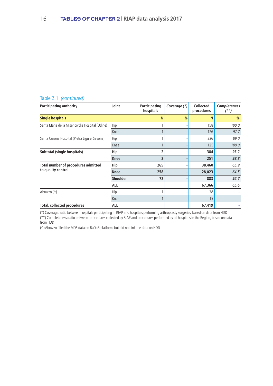#### Table 2.1. *(continued)*

| Participating authority                         | Joint           | Participating<br>hospitals | Coverage (*)             | <b>Collected</b><br>procedures | <b>Completeness</b><br>$^{(*)}$ |
|-------------------------------------------------|-----------------|----------------------------|--------------------------|--------------------------------|---------------------------------|
| <b>Single hospitals</b>                         |                 | N                          | %                        | N                              | %                               |
| Santa Maria della Misericordia Hospital (Udine) | Hip             |                            |                          | 158                            | 100.0                           |
|                                                 | Knee            |                            | $\overline{\phantom{a}}$ | 126                            | 97.7                            |
| Santa Corona Hospital (Pietra Ligure, Savona)   | Hip             |                            |                          | 226                            | 89.0                            |
|                                                 | Knee            |                            |                          | 125                            | 100.0                           |
| Subtotal (single hospitals)                     | Hip             | $\overline{2}$             | ٠                        | 384                            | 93.2                            |
|                                                 | <b>Knee</b>     | 2                          |                          | 251                            | 98.8                            |
| Total number of procedures admitted             | Hip             | 265                        | ٠                        | 38,460                         | 65.9                            |
| to quality control                              | <b>Knee</b>     | 258                        |                          | 28,023                         | 64.5                            |
|                                                 | <b>Shoulder</b> | 72                         |                          | 883                            | 92.7                            |
|                                                 | <b>ALL</b>      |                            |                          | 67,366                         | 65.6                            |
| Abruzzo (^)                                     | Hip             |                            |                          | 38                             |                                 |
|                                                 | Knee            |                            |                          | 15                             |                                 |
| <b>Total, collected procedures</b>              | <b>ALL</b>      |                            |                          | 67,419                         |                                 |

(\*) Coverage: ratio between hospitals participating in RIAP and hospitals performing arthroplasty surgeries, based on data from HDD

(\*\*) Completeness: ratio between procedures collected by RIAP and procedures performed by all hospitals in the Region, based on data from HDD

(^) Abruzzo filled the MDS data on RaDaR platform, but did not link the data on HDD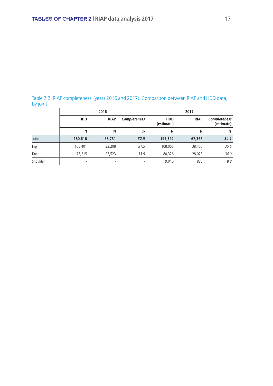#### Table 2.2. RIAP completeness (years 2016 and 2017). Comparison between RIAP and HDD data, by joint

|          |            | 2016        |                     | 2017                     |             |                                   |  |  |  |
|----------|------------|-------------|---------------------|--------------------------|-------------|-----------------------------------|--|--|--|
|          | <b>HDD</b> | <b>RIAP</b> | <b>Completeness</b> | <b>HDD</b><br>(estimate) | <b>RIAP</b> | <b>Completeness</b><br>(estimate) |  |  |  |
|          | N          | N           | %                   | N                        | N           | %                                 |  |  |  |
| Joint    | 180,616    | 58,731      | 32.5                | 197,392                  | 67,366      | 34.1                              |  |  |  |
| Hip      | 105,401    | 33,208      | 31.5                | 108,056                  | 38,460      | 35.6                              |  |  |  |
| Knee     | 75,215     | 25,523      | 33.9                | 80,326                   | 28,023      | 34.9                              |  |  |  |
| Shoulder | ٠          |             |                     | 9,010                    | 883         | 9.8                               |  |  |  |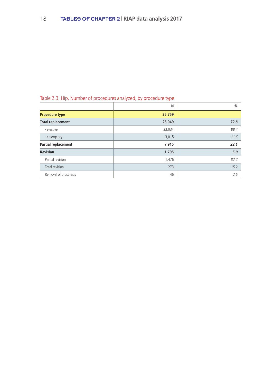#### Table 2.3. Hip. Number of procedures analyzed, by procedure type

|                          | N      | %    |
|--------------------------|--------|------|
| <b>Procedure type</b>    | 35,759 |      |
| <b>Total replacement</b> | 26,049 | 72.8 |
| - elective               | 23,034 | 88.4 |
| - emergency              | 3,015  | 11.6 |
| Partial replacement      | 7,915  | 22.1 |
| <b>Revision</b>          | 1,795  | 5.0  |
| Partial revision         | 1,476  | 82.2 |
| Total revision           | 273    | 15.2 |
| Removal of prosthesis    | 46     | 2.6  |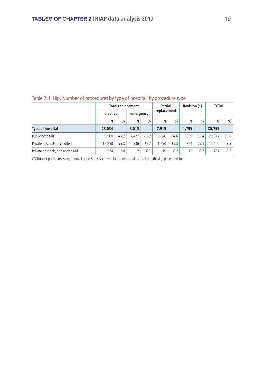|                                   |          |      | <b>Total replacement</b> |      | <b>Partial</b> |      | Revision (*) |               | <b>TOTAL</b> |      |  |  |
|-----------------------------------|----------|------|--------------------------|------|----------------|------|--------------|---------------|--------------|------|--|--|
|                                   | elective |      | emergency                |      | replacement    |      |              |               |              |      |  |  |
|                                   | N        | %    | N                        | $\%$ | N              | %    | N            | $\frac{0}{0}$ | N            | %    |  |  |
| <b>Type of hospital</b>           | 23,034   |      | 3.015                    |      | 7.915          |      | 1,795        |               | 35,759       |      |  |  |
| Public hospitals                  | 9.960    | 43.2 | 2.477                    | 82.2 | 6.646          | 84.0 | 959          | 53.4          | 20.042       | 56.0 |  |  |
| Private hospitals, accredited     | 12.850   | 55.8 | 536                      | 17.7 | 1.250          | 15.8 | 824          | 45.9          | 15,460       | 43.3 |  |  |
| Private hospitals, non accredited | 224      | 1.0  |                          | 0.1  | 19             | 0.2  | 12           | 0.7           | 257          | 0.7  |  |  |

#### Table 2.4. Hip. Number of procedures by type of hospital, by procedure type

(\*) Total or partial revision, removal of prosthesis, conversion from partial to total prosthesis, spacer revision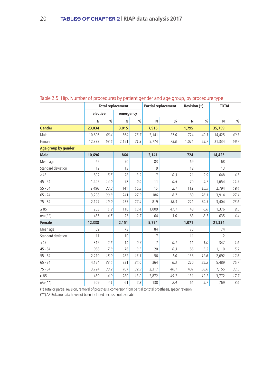|                     | <b>Total replacement</b> |      |           |      | <b>Partial replacement</b> |      | Revision (*)<br><b>TOTAL</b> |      |        |      |
|---------------------|--------------------------|------|-----------|------|----------------------------|------|------------------------------|------|--------|------|
|                     | elective                 |      | emergency |      |                            |      |                              |      |        |      |
|                     | N                        | $\%$ | N         | %    | N                          | %    | N                            | %    | N      | $\%$ |
| <b>Gender</b>       | 23,034                   |      | 3,015     |      | 7,915                      |      | 1,795                        |      | 35,759 |      |
| Male                | 10.696                   | 46.4 | 864       | 28.7 | 2,141                      | 27.0 | 724                          | 40.3 | 14,425 | 40.3 |
| Female              | 12,338                   | 53.6 | 2,151     | 71.3 | 5,774                      | 73.0 | 1,071                        | 59.7 | 21,334 | 59.7 |
| Age group by gender |                          |      |           |      |                            |      |                              |      |        |      |
| <b>Male</b>         | 10,696                   |      | 864       |      | 2,141                      |      | 724                          |      | 14,425 |      |
| Mean age            | 65                       |      | 70        |      | 83                         |      | 69                           |      | 68     |      |
| Standard deviation  | 12                       |      | 13        |      | 9                          |      | 12                           |      | 13     |      |
| $<$ 45              | 592                      | 5.5  | 28        | 3.2  | $\overline{7}$             | 0.3  | 21                           | 2.9  | 648    | 4.5  |
| $45 - 54$           | 1,495                    | 14.0 | 78        | 9.0  | 11                         | 0.5  | 70                           | 9.7  | 1,654  | 11.5 |
| $55 - 64$           | 2,496                    | 23.3 | 141       | 16.3 | 45                         | 2.1  | 112                          | 15.5 | 2,794  | 19.4 |
| $65 - 74$           | 3,298                    | 30.8 | 241       | 27.9 | 186                        | 8.7  | 189                          | 26.1 | 3,914  | 27.1 |
| $75 - 84$           | 2,127                    | 19.9 | 237       | 27.4 | 819                        | 38.3 | 221                          | 30.5 | 3,404  | 23.6 |
| $\geq 85$           | 203                      | 1.9  | 116       | 13.4 | 1,009                      | 47.1 | 48                           | 6.6  | 1,376  | 9.5  |
| $n/a$ (**)          | 485                      | 4.5  | 23        | 2.7  | 64                         | 3.0  | 63                           | 8.7  | 635    | 4.4  |
| <b>Female</b>       | 12,338                   |      | 2,151     |      | 5,774                      |      | 1,071                        |      | 21,334 |      |
| Mean age            | 69                       |      | 73        |      | 84                         |      | 73                           |      | 74     |      |
| Standard deviation  | 11                       |      | 10        |      | 7                          |      | 11                           |      | 12     |      |
| <45                 | 315                      | 2.6  | 14        | 0.7  | 7                          | 0.1  | 11                           | 1.0  | 347    | 1.6  |
| $45 - 54$           | 958                      | 7.8  | 76        | 3.5  | 20                         | 0.3  | 56                           | 5.2  | 1,110  | 5.2  |
| $55 - 64$           | 2,219                    | 18.0 | 282       | 13.1 | 56                         | 1.0  | 135                          | 12.6 | 2,692  | 12.6 |
| $65 - 74$           | 4,124                    | 33.4 | 731       | 34.0 | 364                        | 6.3  | 270                          | 25.2 | 5,489  | 25.7 |
| $75 - 84$           | 3,724                    | 30.2 | 707       | 32.9 | 2.317                      | 40.1 | 407                          | 38.0 | 7,155  | 33.5 |
| $\geq 85$           | 489                      | 4.0  | 280       | 13.0 | 2,872                      | 49.7 | 131                          | 12.2 | 3,772  | 17.7 |
| $n/a$ (**)          | 509                      | 4.1  | 61        | 2.8  | 138                        | 2.4  | 61                           | 5.7  | 769    | 3.6  |

#### Table 2.5. Hip. Number of procedures by patient gender and age group, by procedure type

(\*) Total or partial revision, removal of prosthesis, conversion from partial to total prosthesis, spacer revision

(\*\*) AP Bolzano data have not been included because not available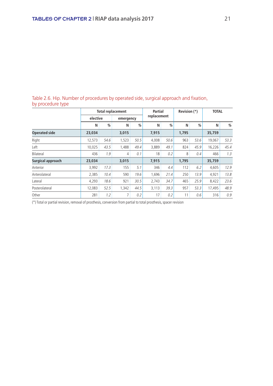|                      |          |      | <b>Total replacement</b> | Partial |             | Revision (*) |       | <b>TOTAL</b> |        |      |
|----------------------|----------|------|--------------------------|---------|-------------|--------------|-------|--------------|--------|------|
|                      | elective |      | emergency                |         | replacement |              |       |              |        |      |
|                      | N        | %    | N                        | %       | N           | %            | N     | %            | N      | $\%$ |
| <b>Operated side</b> | 23,034   |      | 3,015                    |         | 7,915       |              | 1,795 |              | 35,759 |      |
| Right                | 12,573   | 54.6 | 1,523                    | 50.5    | 4.008       | 50.6         | 963   | 53.6         | 19,067 | 53.3 |
| Left                 | 10,025   | 43.5 | 1,488                    | 49.4    | 3,889       | 49.1         | 824   | 45.9         | 16,226 | 45.4 |
| Bilateral            | 436      | 1.9  | 4                        | 0.1     | 18          | 0.2          | 8     | 0.4          | 466    | 1.3  |
| Surgical approach    | 23,034   |      | 3,015                    |         | 7,915       |              | 1.795 |              | 35,759 |      |
| Anterior             | 3,992    | 17.3 | 155                      | 5.1     | 346         | 4.4          | 112   | 6.2          | 4.605  | 12.9 |
| Anterolateral        | 2,385    | 10.4 | 590                      | 19.6    | 1,696       | 21.4         | 250   | 13.9         | 4,921  | 13.8 |
| Lateral              | 4,293    | 18.6 | 921                      | 30.5    | 2,743       | 34.7         | 465   | 25.9         | 8,422  | 23.6 |
| Posterolateral       | 12,083   | 52.5 | 1,342                    | 44.5    | 3,113       | 39.3         | 957   | 53.3         | 17.495 | 48.9 |
| Other                | 281      | 1.2  | 7                        | 0.2     | 17          | 0.2          | 11    | 0.6          | 316    | 0.9  |

Table 2.6. Hip. Number of procedures by operated side, surgical approach and fixation, by procedure type

(\*) Total or partial revision, removal of prosthesis, conversion from partial to total prosthesis, spacer revision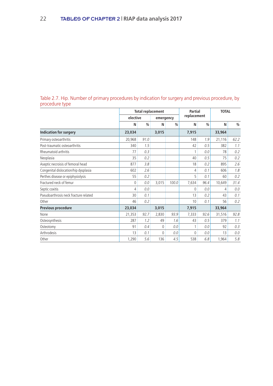#### Table 2.7. Hip. Number of primary procedures by indication for surgery and previous procedure, by procedure type

|                                       |          | <b>Total replacement</b> |              | Partial       |             |               | <b>TOTAL</b> |      |
|---------------------------------------|----------|--------------------------|--------------|---------------|-------------|---------------|--------------|------|
|                                       | elective |                          | emergency    |               | replacement |               |              |      |
|                                       | N        | $\frac{0}{0}$            | N            | $\frac{0}{0}$ | N           | $\frac{0}{0}$ | N            | %    |
| <b>Indication for surgery</b>         | 23,034   |                          | 3,015        |               | 7,915       |               | 33,964       |      |
| Primary osteoarthritis                | 20,968   | 91.0                     |              |               | 148         | 1.9           | 21,116       | 62.2 |
| Post-traumatic osteoarthritis         | 340      | 1.5                      |              |               | 42          | 0.5           | 382          | 1.1  |
| Rheumatoid arthritis                  | 77       | 0.3                      |              |               | 1           | 0.0           | 78           | 0.2  |
| Neoplasia                             | 35       | 0.2                      |              |               | 40          | 0.5           | 75           | 0.2  |
| Aseptic necroisis of femoral head     | 877      | 3.8                      |              |               | 18          | 0.2           | 895          | 2.6  |
| Congenital dislocation/hip dysplasia  | 602      | 2.6                      |              |               | 4           | 0.1           | 606          | 1.8  |
| Perthes disease or epiphysiolysis     | 55       | 0.2                      |              |               | 5           | 0.1           | 60           | 0.2  |
| Fractured neck of femur               | 0        | 0.0                      | 3,015        | 100.0         | 7,634       | 96.4          | 10,649       | 31.4 |
| Septic coxitis                        | 4        | 0.0                      |              |               | $\Omega$    | 0.0           | 4            | 0.0  |
| Pseudoarthrosis neck fracture related | 30       | 0.1                      |              |               | 13          | 0.2           | 43           | 0.1  |
| Other                                 | 46       | 0.2                      |              |               | 10          | 0.1           | 56           | 0.2  |
| Previous procedure                    | 23,034   |                          | 3,015        |               | 7,915       |               | 33,964       |      |
| None                                  | 21,353   | 92.7                     | 2,830        | 93.9          | 7,333       | 92.6          | 31,516       | 92.8 |
| Osteosynthesis                        | 287      | 1.2                      | 49           | 1.6           | 43          | 0.5           | 379          | 1.1  |
| Osteotomy                             | 91       | 0.4                      | $\mathbf{0}$ | 0.0           | 1           | 0.0           | 92           | 0.3  |
| Arthrodesis                           | 13       | 0.1                      | $\Omega$     | 0.0           | $\Omega$    | 0.0           | 13           | 0.0  |
| Other                                 | 1,290    | 5.6                      | 136          | 4.5           | 538         | 6.8           | 1,964        | 5.8  |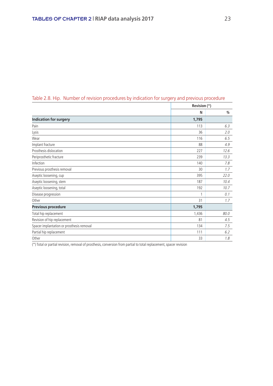| Table 2.8. Hip. Number of revision procedures by indication for surgery and previous procedure |  |  |  |
|------------------------------------------------------------------------------------------------|--|--|--|
|                                                                                                |  |  |  |

|                                           | Revision (*) |      |
|-------------------------------------------|--------------|------|
|                                           | N            | %    |
| <b>Indication for surgery</b>             | 1,795        |      |
| Pain                                      | 113          | 6.3  |
| Lysis                                     | 36           | 2.0  |
| Wear                                      | 116          | 6.5  |
| Implant fracture                          | 88           | 4.9  |
| Prosthesis dislocation                    | 227          | 12.6 |
| Periprosthetic fracture                   | 239          | 13.3 |
| Infection                                 | 140          | 7.8  |
| Previous prosthesis removal               | 30           | 1.7  |
| Aseptic loosening, cup                    | 395          | 22.0 |
| Aseptic loosening, stem                   | 187          | 10.4 |
| Aseptic loosening, total                  | 192          | 10.7 |
| Disease progression                       | 1            | 0.1  |
| Other                                     | 31           | 1.7  |
| <b>Previous procedure</b>                 | 1,795        |      |
| Total hip replacement                     | 1,436        | 80.0 |
| Revision of hip replacement               | 81           | 4.5  |
| Spacer implantation or prosthesis removal | 134          | 7.5  |
| Partial hip replacement                   | 111          | 6.2  |
| Other                                     | 33           | 1.8  |

 $\overline{(*)}$  Total or partial revision, removal of prosthesis, conversion from partial to total replacement, spacer revision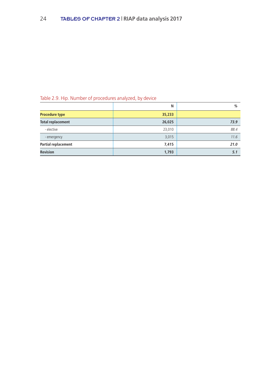#### Table 2.9. Hip. Number of procedures analyzed, by device

|                          | N      | $\frac{0}{0}$ |
|--------------------------|--------|---------------|
| <b>Procedure type</b>    | 35,233 |               |
| <b>Total replacement</b> | 26,025 | 73.9          |
| - elective               | 23,010 | 88.4          |
| - emergency              | 3,015  | 11.6          |
| Partial replacement      | 7,415  | 21.0          |
| <b>Revision</b>          | 1,793  | 5.1           |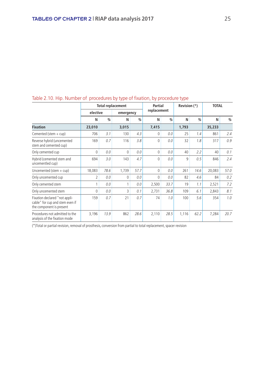| Table 2.10. Filp. Nurfliber Of Drocedures by type of fixation, by procedure type             |              |               |                          |      |                |               |              |               |              |      |
|----------------------------------------------------------------------------------------------|--------------|---------------|--------------------------|------|----------------|---------------|--------------|---------------|--------------|------|
|                                                                                              |              |               | <b>Total replacement</b> |      | <b>Partial</b> |               | Revision (*) |               | <b>TOTAL</b> |      |
|                                                                                              | elective     |               | emergency                |      | replacement    |               |              |               |              |      |
|                                                                                              | N            | $\frac{0}{0}$ | N                        | %    | N              | $\frac{0}{0}$ | N            | $\frac{0}{0}$ | N            | $\%$ |
| <b>Fixation</b>                                                                              | 23,010       |               | 3,015                    |      | 7,415          |               | 1,793        |               | 35,233       |      |
| Cemented (stem $+$ cup)                                                                      | 706          | 3.1           | 130                      | 4.3  | 0              | 0.0           | 25           | 1.4           | 861          | 2.4  |
| Reverse hybrid (uncemented<br>stem and cemented cup)                                         | 169          | 0.7           | 116                      | 3.8  | 0              | 0.0           | 32           | 1.8           | 317          | 0.9  |
| Only cemented cup                                                                            | $\mathbf{0}$ | 0.0           | $\Omega$                 | 0.0  | 0              | 0.0           | 40           | 2.2           | 40           | 0.1  |
| Hybrid (cemented stem and<br>uncementled cup)                                                | 694          | 3.0           | 143                      | 4.7  | 0              | 0.0           | 9            | 0.5           | 846          | 2.4  |
| Uncemented (stem $+$ cup)                                                                    | 18,083       | 78.6          | 1,739                    | 57.7 | 0              | 0.0           | 261          | 14.6          | 20,083       | 57.0 |
| Only uncemented cup                                                                          | 2            | 0.0           | $\Omega$                 | 0.0  | 0              | 0.0           | 82           | 4.6           | 84           | 0.2  |
| Only cemented stem                                                                           | 1            | 0.0           |                          | 0.0  | 2,500          | 33.7          | 19           | 1.1           | 2,521        | 7.2  |
| Only uncemented stem                                                                         | 0            | 0.0           | 3                        | 0.1  | 2,731          | 36.8          | 109          | 6.1           | 2,843        | 8.1  |
| Fixation declared "not appli-<br>cable" for cup and stem even if<br>the component is present | 159          | 0.7           | 21                       | 0.7  | 74             | 1.0           | 100          | 5.6           | 354          | 1.0  |
| Procedures not admitted to the<br>analysis of the fixation mode                              | 3,196        | 13.9          | 862                      | 28.6 | 2,110          | 28.5          | 1,116        | 62.2          | 7,284        | 20.7 |

#### Table 2.10. Hip. Number of procedures by type of fixation, by procedure type

(\*)Total or partial revision, removal of prosthesis, conversion from partial to total replacement, spacer revision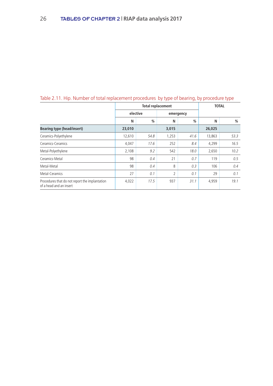|                                                                           |          | <b>Total replacement</b> | <b>TOTAL</b>   |               |        |      |
|---------------------------------------------------------------------------|----------|--------------------------|----------------|---------------|--------|------|
|                                                                           | elective |                          | emergency      |               |        |      |
|                                                                           | N        | $\frac{0}{0}$            | N              | $\frac{0}{0}$ | N      | %    |
| <b>Bearing type (head/insert)</b>                                         | 23,010   |                          | 3,015          |               | 26,025 |      |
| Ceramics-Polyethylene                                                     | 12,610   | 54.8                     | 1,253          | 41.6          | 13,863 | 53.3 |
| Ceramics-Ceramics                                                         | 4,047    | 17.6                     | 252            | 8.4           | 4,299  | 16.5 |
| Metal-Polyethylene                                                        | 2,108    | 9.2                      | 542            | 18.0          | 2,650  | 10.2 |
| Ceramics-Metal                                                            | 98       | 0.4                      | 21             | 0.7           | 119    | 0.5  |
| Metal-Metal                                                               | 98       | 0.4                      | 8              | 0.3           | 106    | 0.4  |
| Metal-Ceramics                                                            | 27       | 0.1                      | $\overline{2}$ | 0.1           | 29     | 0.1  |
| Procedures that do not report the implantation<br>of a head and an insert | 4,022    | 17.5                     | 937            | 31.1          | 4,959  | 19.1 |

#### Table 2.11. Hip. Number of total replacement procedures by type of bearing, by procedure type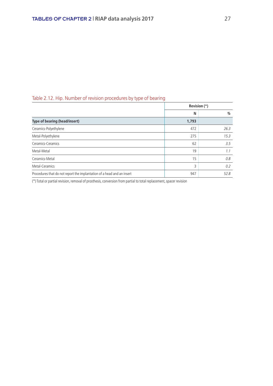#### Table 2.12. Hip. Number of revision procedures by type of bearing

|                                                                        | Revision (*) |      |
|------------------------------------------------------------------------|--------------|------|
|                                                                        | N            | %    |
| Type of bearing (head/insert)                                          | 1,793        |      |
| Ceramics-Polyethylene                                                  | 472          | 26.3 |
| Metal-Polyethylene                                                     | 275          | 15.3 |
| Ceramics-Ceramics                                                      | 62           | 3.5  |
| Metal-Metal                                                            | 19           | 1.1  |
| Ceramics-Metal                                                         | 15           | 0.8  |
| Metal-Ceramics                                                         | 3            | 0.2  |
| Procedures that do not report the implantation of a head and an insert | 947          | 52.8 |

(\*) Total or partial revision, removal of prosthesis, conversion from partial to total replacement, spacer revision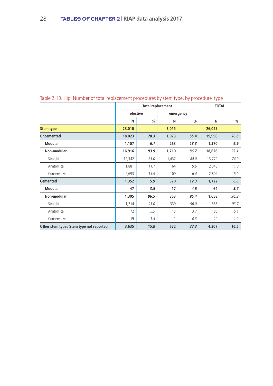|                                          |          |      | <b>Total replacement</b> |           | <b>TOTAL</b> |      |
|------------------------------------------|----------|------|--------------------------|-----------|--------------|------|
|                                          | elective |      |                          | emergency |              |      |
|                                          | N        | %    | N                        | %         | N            | $\%$ |
| <b>Stem type</b>                         | 23,010   |      | 3,015                    |           | 26,025       |      |
| <b>Uncemented</b>                        | 18,023   | 78.3 | 1,973                    | 65.4      | 19,996       | 76.8 |
| <b>Modular</b>                           | 1,107    | 6.1  | 263                      | 13.3      | 1,370        | 6.9  |
| Non-modular                              | 16,916   | 93.9 | 1,710                    | 86.7      | 18,626       | 93.1 |
| Straight                                 | 12,342   | 73.0 | 1,437                    | 84.0      | 13,779       | 74.0 |
| Anatomical                               | 1,881    | 11.1 | 164                      | 9.6       | 2,045        | 11.0 |
| Conservative                             | 2,693    | 15.9 | 109                      | 6.4       | 2,802        | 15.0 |
| <b>Cemented</b>                          | 1,352    | 5.9  | 370                      | 12.3      | 1,722        | 6.6  |
| <b>Modular</b>                           | 47       | 3.5  | 17                       | 4.6       | 64           | 3.7  |
| Non-modular                              | 1,305    | 96.5 | 353                      | 95.4      | 1,658        | 96.3 |
| Straight                                 | 1,214    | 93.0 | 339                      | 96.0      | 1,553        | 93.7 |
| Anatomical                               | 72       | 5.5  | 13                       | 3.7       | 85           | 5.1  |
| Conservative                             | 19       | 1.5  | 1                        | 0.3       | 20           | 1.2  |
| Other stem type / Stem type not reported | 3,635    | 15.8 | 672                      | 22.3      | 4,307        | 16.5 |

#### Table 2.13. Hip. Number of total replacement procedures by stem type, by procedure type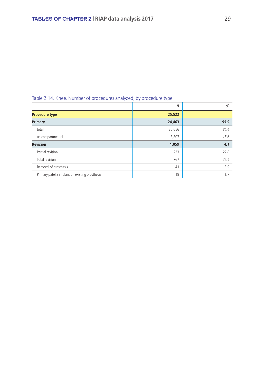|                                                | . .    |      |
|------------------------------------------------|--------|------|
|                                                | N      | %    |
| <b>Procedure type</b>                          | 25,522 |      |
| Primary                                        | 24,463 | 95.9 |
| total                                          | 20,656 | 84.4 |
| unicompartmental                               | 3,807  | 15.6 |
| <b>Revision</b>                                | 1,059  | 4.1  |
| Partial revision                               | 233    | 22.0 |
| Total revision                                 | 767    | 72.4 |
| Removal of prosthesis                          | 41     | 3.9  |
| Primary patella implant on existing prosthesis | 18     | 1.7  |

#### Table 2.14. Knee. Number of procedures analyzed, by procedure type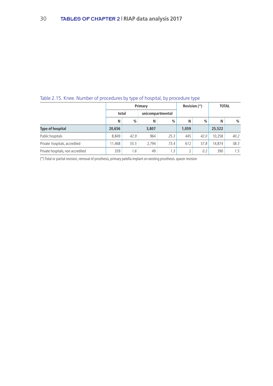#### Table 2.15. Knee. Number of procedures by type of hospital, by procedure type

|                                   |        |       | Primary |                  |       | Revision (*) | <b>TOTAL</b> |               |
|-----------------------------------|--------|-------|---------|------------------|-------|--------------|--------------|---------------|
|                                   |        | total |         | unicompartmental |       |              |              |               |
|                                   | N      | %     | N       | $\frac{0}{0}$    | Ν     | %            | N            | $\%$          |
| <b>Type of hospital</b>           | 20,656 |       | 3,807   |                  | 1.059 |              | 25,522       |               |
| Public hospitals                  | 8.849  | 42.9  | 964     | 25.3             | 445   | 42.0         | 10.258       | 40.2          |
| Private hospitals, accredited     | 1.468  | 55.5  | 2.794   | 73.4             | 612   | 57.8         | 14.874       | 58.3          |
| Private hospitals, non accredited | 339    | 1.6   | 49      | 1.3              |       | 0.2          | 390          | $1.5^{\circ}$ |

(\*) Total or partial revision, removal of prosthesis, primary patella implant on existing prosthesis. spacer revision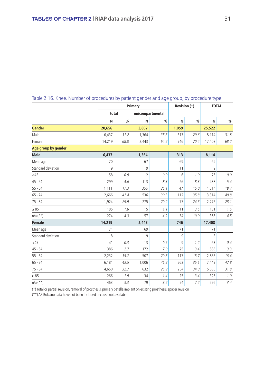|                     |        |      | Primary          |      | Revision (*)   |      | <b>TOTAL</b> |      |  |
|---------------------|--------|------|------------------|------|----------------|------|--------------|------|--|
|                     | total  |      | unicompartmental |      |                |      |              |      |  |
|                     | N      | $\%$ | N                | $\%$ | N              | %    | N            | $\%$ |  |
| <b>Gender</b>       | 20,656 |      | 3,807            |      | 1,059          |      | 25,522       |      |  |
| Male                | 6,437  | 31.2 | 1,364            | 35.8 | 313            | 29.6 | 8,114        | 31.8 |  |
| Female              | 14,219 | 68.8 | 2,443            | 64.2 | 746            | 70.4 | 17,408       | 68.2 |  |
| Age group by gender |        |      |                  |      |                |      |              |      |  |
| <b>Male</b>         | 6,437  |      | 1,364            |      | 313            |      | 8,114        |      |  |
| Mean age            | 70     |      | 67               |      | 69             |      | 69           |      |  |
| Standard deviation  | 9      |      | 9                |      | 11             |      | 9            |      |  |
| $<$ 45              | 58     | 0.9  | 12               | 0.9  | $6\phantom{1}$ | 1.9  | 76           | 0.9  |  |
| $45 - 54$           | 299    | 4.6  | 113              | 8.3  | 26             | 8.3  | 438          | 5.4  |  |
| $55 - 64$           | 1,111  | 17.3 | 356              | 26.1 | 47             | 15.0 | 1,514        | 18.7 |  |
| $65 - 74$           | 2,666  | 41.4 | 536              | 39.3 | 112            | 35.8 | 3,314        | 40.8 |  |
| $75 - 84$           | 1,924  | 29.9 | 275              | 20.2 | 77             | 24.6 | 2,276        | 28.1 |  |
| $\geq 85$           | 105    | 1.6  | 15               | 1.1  | 11             | 3.5  | 131          | 1.6  |  |
| $n/a$ $(**)$        | 274    | 4.3  | 57               | 4.2  | 34             | 10.9 | 365          | 4.5  |  |
| <b>Female</b>       | 14,219 |      | 2,443            |      | 746            |      | 17,408       |      |  |
| Mean age            | 71     |      | 69               |      | 71             |      | 71           |      |  |
| Standard deviation  | 8      |      | 9                |      | $\overline{9}$ |      | 8            |      |  |
| $<$ 45              | 41     | 0.3  | 13               | 0.5  | $\mathsf g$    | 1.2  | 63           | 0.4  |  |
| $45 - 54$           | 386    | 2.7  | 172              | 7.0  | 25             | 3.4  | 583          | 3.3  |  |
| $55 - 64$           | 2,232  | 15.7 | 507              | 20.8 | 117            | 15.7 | 2,856        | 16.4 |  |
| $65 - 74$           | 6,181  | 43.5 | 1,006            | 41.2 | 262            | 35.1 | 7,449        | 42.8 |  |
| $75 - 84$           | 4,650  | 32.7 | 632              | 25.9 | 254            | 34.0 | 5,536        | 31.8 |  |
| $\geq 85$           | 266    | 1.9  | 34               | 1.4  | 25             | 3.4  | 325          | 1.9  |  |
| $n/a$ (**)          | 463    | 3.3  | 79               | 3.2  | 54             | 7.2  | 596          | 3.4  |  |

#### Table 2.16. Knee. Number of procedures by patient gender and age group, by procedure type

(\*) Total or partial revision, removal of prosthesis, primary patella implant on existing prosthesis, spacer revision

(\*\*) AP Bolzano data have not been included because not available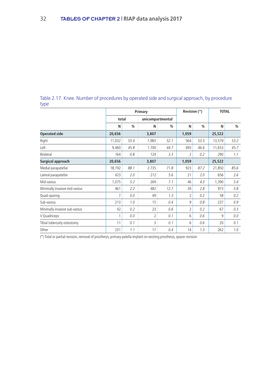#### Table 2.17. Knee. Number of procedures by operated side and surgical approach, by procedure type

|                               |        |      | Primary                  |               | Revision (*) |      | <b>TOTAL</b> |               |
|-------------------------------|--------|------|--------------------------|---------------|--------------|------|--------------|---------------|
|                               | total  |      | unicompartmental         |               |              |      |              |               |
|                               | N      | %    | N                        | $\frac{0}{0}$ | N            | %    | N            | $\frac{0}{0}$ |
| <b>Operated side</b>          | 20,656 |      | 3,807                    |               | 1,059        |      | 25,522       |               |
| Right                         | 11,032 | 53.4 | 1,983                    | 52.1          | 564          | 53.3 | 13,579       | 53.2          |
| Left                          | 9,460  | 45.8 | 1.700                    | 44.7          | 493          | 46.6 | 11,653       | 45.7          |
| Bilateral                     | 164    | 0.8  | 124                      | 3.3           | 2            | 0.2  | 290          | 1.1           |
| Surgical approach             | 20,656 |      | 3,807                    |               | 1,059        |      | 25,522       |               |
| Medial parapatellar           | 18,192 | 88.1 | 2.735                    | 71.8          | 923          | 87.2 | 21,850       | 85.6          |
| Lateral parapatellar          | 423    | 2.0  | 212                      | 5.6           | 21           | 2.0  | 656          | 2.6           |
| Mid-vastus                    | 1,075  | 5.2  | 269                      | 7.1           | 46           | 4.3  | 1,390        | 5.4           |
| Minimally invasive mid-vastus | 461    | 2.2  | 482                      | 12.7          | 30           | 2.8  | 973          | 3.8           |
| Quad-sparing                  | 7      | 0.0  | 49                       | 1.3           | 2            | 0.2  | 58           | 0.2           |
| Sub-vastus                    | 213    | 1.0  | 15                       | 0.4           | 9            | 0.8  | 237          | 0.9           |
| Minimally invasive sub-vastus | 42     | 0.2  | 23                       | 0.6           | 2            | 0.2  | 67           | 0.3           |
| V Quadriceps                  | 1      | 0.0  | $\overline{\phantom{a}}$ | 0.1           | 6            | 0.6  | 9            | 0.0           |
| Tibial tuberosity osteotomy   | 11     | 0.1  | 3                        | 0.1           | 6            | 0.6  | 20           | 0.1           |
| Other                         | 231    | 1.1  | 17                       | 0.4           | 14           | 1.3  | 262          | 1.0           |

(\*) Total or partial revision, removal of prosthesis, primary patella implant on existing prosthesis, spacer revision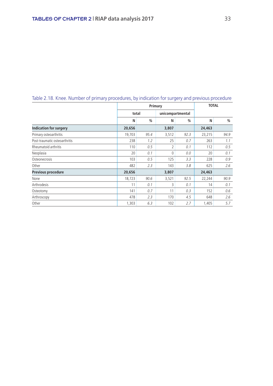|                               |        | Primary       |          | <b>TOTAL</b>     |        |      |
|-------------------------------|--------|---------------|----------|------------------|--------|------|
|                               |        | total         |          | unicompartmental |        |      |
|                               | N      | $\frac{0}{0}$ | N        | $\frac{0}{0}$    | N      | %    |
| <b>Indication for surgery</b> | 20,656 |               | 3,807    |                  | 24,463 |      |
| Primary osteoarthritis        | 19,703 | 95.4          | 3,512    | 92.3             | 23,215 | 94.9 |
| Post-traumatic osteoarthritis | 238    | 1.2           | 25       | 0.7              | 263    | 1.1  |
| Rheumatoid arthritis          | 110    | 0.5           | 2        | 0.1              | 112    | 0.5  |
| Neoplasia                     | 20     | 0.1           | $\Omega$ | 0.0              | 20     | 0.1  |
| Osteonecrosis                 | 103    | 0.5           | 125      | 3.3              | 228    | 0.9  |
| Other                         | 482    | 2.3           | 143      | 3.8              | 625    | 2.6  |
| Previous procedure            | 20,656 |               | 3,807    |                  | 24,463 |      |
| None                          | 18,723 | 90.6          | 3,521    | 92.5             | 22,244 | 90.9 |
| Arthrodesis                   | 11     | 0.1           | 3        | 0.1              | 14     | 0.1  |
| Osteotomy                     | 141    | 0.7           | 11       | 0.3              | 152    | 0.6  |
| Arthroscopy                   | 478    | 2.3           | 170      | 4.5              | 648    | 2.6  |
| Other                         | 1,303  | 6.3           | 102      | 2.7              | 1,405  | 5.7  |

#### Table 2.18. Knee. Number of primary procedures, by indication for surgery and previous procedure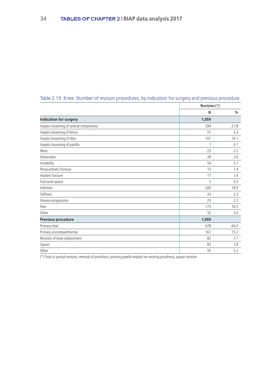|                                         | Revision (*) |      |
|-----------------------------------------|--------------|------|
|                                         | N            | %    |
| <b>Indication for surgery</b>           | 1,059        |      |
| Aseptic loosening of several components | 294          | 27.8 |
| Aseptic loosening of femur              | 57           | 5.4  |
| Aseptic loosening of tibia              | 107          | 10.1 |
| Aseptic loosening of patella            | 7            | 0.7  |
| Wear                                    | 23           | 2.2  |
| Dislocation                             | 28           | 2.6  |
| Instability                             | 54           | 5.1  |
| Periprosthetic fracture                 | 15           | 1.4  |
| Implant fracture                        | 17           | 1.6  |
| Fractured spacer                        | 3            | 0.3  |
| Infection                               | 200          | 18.9 |
| <b>Stiffness</b>                        | 24           | 2.3  |
| Disease progression                     | 23           | 2.2  |
| Pain                                    | 175          | 16.5 |
| Other                                   | 32           | 3.0  |
| Previous procedure                      | 1,059        |      |
| Primary total                           | 678          | 64.0 |
| Primary unicompartmental                | 161          | 15.2 |
| Revision of knee replacement            | 82           | 7.7  |
| Spacer                                  | 83           | 7.8  |
| Other                                   | 55           | 5.2  |

#### Table 2.19. Knee. Number of revision procedures, by indication for surgery and previous procedure

(\*) Total or partial revision, removal of prosthesis, primary patella implant on existing prosthesis, spacer revision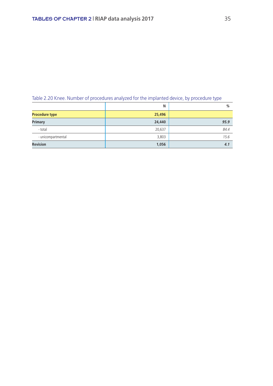| Table 2.20 Knee. Number of procedures analyzed for the implanted device, by procedure type |  |
|--------------------------------------------------------------------------------------------|--|
|                                                                                            |  |

|                       | N      | $\frac{9}{6}$ |
|-----------------------|--------|---------------|
| <b>Procedure type</b> | 25,496 |               |
| <b>Primary</b>        | 24,440 | 95.9          |
| - total               | 20,637 | 84.4          |
| - unicompartmental    | 3,803  | 15.6          |
| <b>Revision</b>       | 1,056  | 4.1           |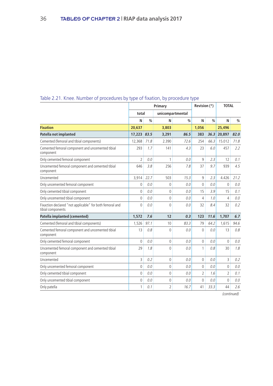|                                                                               |                |      | Primary        |                  | Revision (*)   |               | <b>TOTAL</b>             |      |
|-------------------------------------------------------------------------------|----------------|------|----------------|------------------|----------------|---------------|--------------------------|------|
|                                                                               | total          |      |                | unicompartmental |                |               |                          |      |
|                                                                               | N              | %    | N              | %                | N              | $\frac{0}{0}$ | N                        | $\%$ |
| <b>Fixation</b>                                                               | 20,637         |      | 3,803          |                  | 1,056          |               | 25,496                   |      |
| Patella not implanted                                                         | 17,223 83.5    |      | 3,291          | 86.5             | 383            | 36.3          | 20,897                   | 82.0 |
| Cemented (femoral and tibial components)                                      | 12,368         | 71.8 | 2.390          | 72.6             | 254            | 66.3          | 15.012                   | 71.8 |
| Cemented femoral component and uncemented tibial<br>component                 | 293            | 1.7  | 141            | 4.3              | 23             | 6.0           | 457                      | 2.2  |
| Only cemented femoral component                                               | $\overline{2}$ | 0.0  | 1              | 0.0              | 9              | 2.3           | 12                       | 0.1  |
| Uncemented femoral component and cemented tibial<br>component                 | 646            | 3.8  | 256            | 7.8              | 37             | 9.7           | 939                      | 4.5  |
| Uncemented                                                                    | 3,914          | 22.7 | 503            | 15.3             | 9              | 2.3           | 4.426                    | 21.2 |
| Only uncemented femoral component                                             | $\Omega$       | 0.0  | 0              | 0.0              | 0              | 0.0           | $\theta$                 | 0.0  |
| Only cemented tibial component                                                | $\Omega$       | 0.0  | 0              | 0.0              | 15             | 3.9           | 15                       | 0.1  |
| Only uncemented tibial component                                              | 0              | 0.0  | $\mathbf 0$    | 0.0              | 4              | 1.0           | 4                        | 0.0  |
| Fixaction declared "not applicable" for both femoral and<br>tibial components | $\Omega$       | 0.0  | $\Omega$       | 0.0              | 32             | 8.4           | 32                       | 0.2  |
| Patella implanted (cemented)                                                  | 1,572          | 7.6  | 12             | 0.3              | 123            | 11.6          | 1,707                    | 6.7  |
| Cemented (femoral and tibial components)                                      | 1,526          | 97.1 | 10             | 83.3             | 79             | 64.2          | 1,615                    | 94.6 |
| Cemented femoral component and uncemented tibial<br>component                 | 13             | 0.8  | $\mathbf 0$    | 0.0              | $\mathbf 0$    | 0.0           | 13                       | 0.8  |
| Only cemented femoral component                                               | $\Omega$       | 0.0  | 0              | 0.0              | 0              | 0.0           | $\Omega$                 | 0.0  |
| Uncemented femoral component and cemented tibial<br>component                 | 29             | 1.8  | $\mathbf 0$    | 0.0              | 1              | 0.8           | 30                       | 1.8  |
| Uncemented                                                                    | 3              | 0.2  | $\theta$       | 0.0              | $\Omega$       | 0.0           | 3                        | 0.2  |
| Only uncemented femoral component                                             | $\Omega$       | 0.0  | $\mathbf 0$    | 0.0              | $\Omega$       | 0.0           | $\Omega$                 | 0.0  |
| Only cemented tibial component                                                | $\theta$       | 0.0  | $\mathbf 0$    | 0.0              | $\overline{2}$ | 1.6           | $\overline{\phantom{a}}$ | 0.1  |
| Only uncemented tibial component                                              | 0              | 0.0  | 0              | 0.0              | 0              | 0.0           | $\Omega$                 | 0.0  |
| Only patella                                                                  | 1              | 0.1  | $\overline{2}$ | 16.7             | 41             | 33.3          | 44                       | 2.6  |

#### Table 2.21. Knee. Number of procedures by type of fixation, by procedure type

(continued)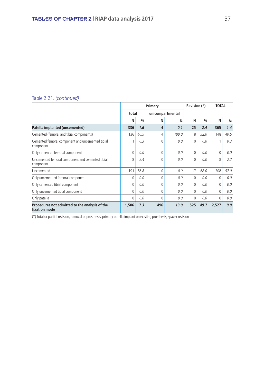#### Table 2.21. *(continued)*

|                                                                 |              |               | Primary      | Revision (*)     |     | <b>TOTAL</b> |       |      |
|-----------------------------------------------------------------|--------------|---------------|--------------|------------------|-----|--------------|-------|------|
|                                                                 | total        |               |              | unicompartmental |     |              |       |      |
|                                                                 | N            | $\frac{0}{0}$ | N            | %                | N   | %            | N     | %    |
| Patella implanted (uncemented)                                  | 336          | 1.6           | 4            | 0.1              | 25  | 2.4          | 365   | 1.4  |
| Cemented (femoral and tibial components)                        | 136          | 40.5          | 4            | 100.0            | 8   | 32.0         | 148   | 40.5 |
| Cemented femoral component and uncemented tibial<br>component   |              | 0.3           | 0            | 0.0              | 0   | 0.0          |       | 0.3  |
| Only cemented femoral component                                 | $\mathbf{0}$ | 0.0           | $\mathbf{0}$ | 0.0              | 0   | 0.0          | 0     | 0.0  |
| Uncemented femoral component and cemented tibial<br>component   | 8            | 2.4           | 0            | 0.0              | 0   | 0.0          | 8     | 2.2  |
| Uncemented                                                      | 191          | 56.8          | $\Omega$     | 0.0              | 17  | 68.0         | 208   | 57.0 |
| Only uncemented femoral component                               | $\Omega$     | 0.0           | $\Omega$     | 0.0              | 0   | 0.0          | 0     | 0.0  |
| Only cemented tibial component                                  | $\Omega$     | 0.0           | 0            | 0.0              | 0   | 0.0          | 0     | 0.0  |
| Only uncemented tibial component                                | $\Omega$     | 0.0           | $\Omega$     | 0.0              | 0   | 0.0          | 0     | 0.0  |
| Only patella                                                    | $\Omega$     | 0.0           | 0            | 0.0              | 0   | 0.0          | 0     | 0.0  |
| Procedures not admitted to the analysis of the<br>fixation mode | 1,506        | 7.3           | 496          | 13.0             | 525 | 49.7         | 2,527 | 9.9  |

(\*) Total or partial revision, removal of prosthesis, primary patella implant on existing prosthesis, spacer revision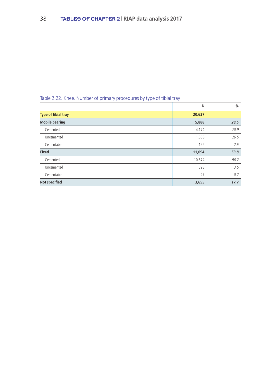| Table 2.22. Knee. Number of primary procedures by type of tibial tray |  |  |
|-----------------------------------------------------------------------|--|--|
|                                                                       |  |  |

|                            | N      | %    |
|----------------------------|--------|------|
| <b>Type of tibial tray</b> | 20,637 |      |
| <b>Mobile bearing</b>      | 5,888  | 28.5 |
| Cemented                   | 4,174  | 70.9 |
| Uncemented                 | 1,558  | 26.5 |
| Cementable                 | 156    | 2.6  |
| <b>Fixed</b>               | 11,094 | 53.8 |
| Cemented                   | 10,674 | 96.2 |
| Uncemented                 | 393    | 3.5  |
| Cementable                 | 27     | 0.2  |
| <b>Not specified</b>       | 3,655  | 17.7 |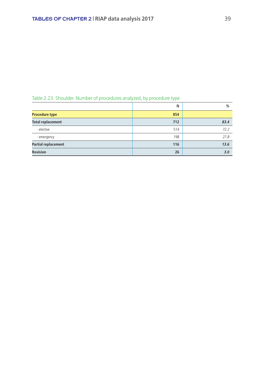| N   | %    |
|-----|------|
| 854 |      |
| 712 | 83.4 |
| 514 | 72.2 |
| 198 | 27.8 |
| 116 | 13.6 |
| 26  | 3.0  |
|     |      |

#### Table 2.23. Shoulder. Number of procedures analyzed, by procedure type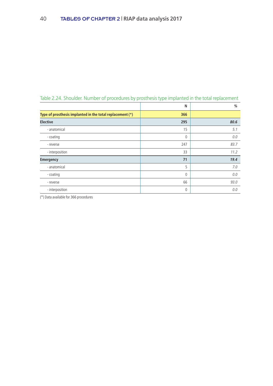|                                                           | N            | %    |
|-----------------------------------------------------------|--------------|------|
| Type of prosthesis implanted in the total replacement (*) | 366          |      |
| <b>Elective</b>                                           | 295          | 80.6 |
| - anatomical                                              | 15           | 5.1  |
| - coating                                                 | $\mathbf{0}$ | 0.0  |
| - reverse                                                 | 247          | 83.7 |
| - interposition                                           | 33           | 11.2 |
| <b>Emergency</b>                                          | 71           | 19.4 |
| - anatomical                                              | 5            | 7.0  |
| - coating                                                 | $\mathbf{0}$ | 0.0  |
| - reverse                                                 | 66           | 93.0 |
| - interposition                                           | 0            | 0.0  |

Table 2.24. Shoulder. Number of procedures by prosthesis type implanted in the total replacement

(\*) Data available for 366 procedures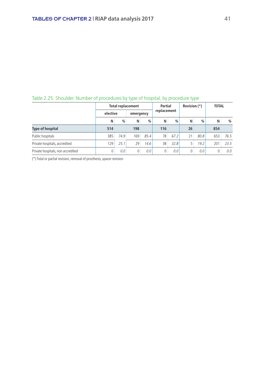|                                   | <b>Total replacement</b> | Partial |           | Revision (*) |             | <b>TOTAL</b> |    |               |     |      |
|-----------------------------------|--------------------------|---------|-----------|--------------|-------------|--------------|----|---------------|-----|------|
|                                   | elective                 |         | emergency |              | replacement |              |    |               |     |      |
|                                   | N                        | %       | N         | $\%$         | N           | %            | N  | $\frac{0}{0}$ | N   | $\%$ |
| <b>Type of hospital</b>           | 514                      |         | 198       |              | 116         |              | 26 |               | 854 |      |
| Public hospitals                  | 385                      | 74.9    | 169       | 85.4         | 78          | 67.2         | 21 | 80.8          | 653 | 76.5 |
| Private hospitals, accredited     | 129                      | 25.1    | 29        | 14.6         | 38          | 32.8         |    | 19.2          | 201 | 23.5 |
| Private hospitals, non accredited |                          | 0.0     |           | 0.0          |             | 0.0          |    | 0.0           |     | 0.0  |

#### Table 2.25. Shoulder. Number of procedures by type of hospital, by procedure type

(\*) Total or partial revision, removal of prosthesis, spacer revision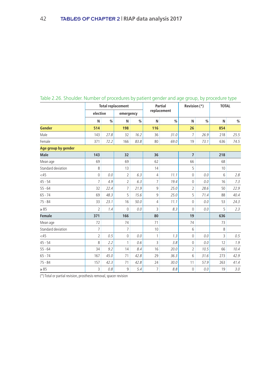|                     | <b>Total replacement</b> |      |                |      | <b>Partial</b> | Revision (*) |                | <b>TOTAL</b> |     |      |  |
|---------------------|--------------------------|------|----------------|------|----------------|--------------|----------------|--------------|-----|------|--|
|                     | elective                 |      | emergency      |      |                | replacement  |                |              |     |      |  |
|                     | N                        | %    | N              | %    | N              | %            | N              | %            | N   | %    |  |
| <b>Gender</b>       | 514                      |      | 198            |      | 116            |              | 26             |              | 854 |      |  |
| Male                | 143                      | 27.8 | 32             | 16.2 | 36             | 31.0         | $\overline{7}$ | 26.9         | 218 | 25.5 |  |
| Female              | 371                      | 72.2 | 166            | 83.8 | 80             | 69.0         | 19             | 73.1         | 636 | 74.5 |  |
| Age group by gender |                          |      |                |      |                |              |                |              |     |      |  |
| <b>Male</b>         | 143                      |      | 32             |      | 36             |              | $\overline{7}$ |              | 218 |      |  |
| Mean age            | 69                       |      | 69             |      | 62             |              | 66             |              | 68  |      |  |
| Standard deviation  | 8                        |      | 13             |      | 14             |              | 5              |              | 10  |      |  |
| $<$ 45              | 0                        | 0.0  | $\overline{2}$ | 6.3  | 4              | 11.1         | 0              | 0.0          | 6   | 2.8  |  |
| $45 - 54$           | $\overline{7}$           | 4.9  | $\overline{2}$ | 6.3  | $\overline{7}$ | 19.4         | 0              | 0.0          | 16  | 7.3  |  |
| $55 - 64$           | 32                       | 22.4 | $\overline{7}$ | 21.9 | 9              | 25.0         | 2              | 28.6         | 50  | 22.9 |  |
| $65 - 74$           | 69                       | 48.3 | 5              | 15.6 | 9              | 25.0         | 5              | 71.4         | 88  | 40.4 |  |
| $75 - 84$           | 33                       | 23.1 | 16             | 50.0 | 4              | 11.1         | $\Omega$       | 0.0          | 53  | 24.3 |  |
| $\geq 85$           | $\overline{a}$           | 1.4  | $\mathbf 0$    | 0.0  | 3              | 8.3          | 0              | 0.0          | 5   | 2.3  |  |
| <b>Female</b>       | 371                      |      | 166            |      | 80             |              | 19             |              | 636 |      |  |
| Mean age            | 72                       |      | 74             |      | 71             |              | 74             |              | 73  |      |  |
| Standard deviation  | 7                        |      | $\overline{7}$ |      | 10             |              | 6              |              | 8   |      |  |
| $<$ 45              | $\overline{2}$           | 0.5  | $\mathbf 0$    | 0.0  | $\mathbf{1}$   | 1.3          | 0              | 0.0          | 3   | 0.5  |  |
| $45 - 54$           | 8                        | 2.2  | 1              | 0.6  | 3              | 3.8          | 0              | 0.0          | 12  | 1.9  |  |
| $55 - 64$           | 34                       | 9.2  | 14             | 8.4  | 16             | 20.0         | $\overline{2}$ | 10.5         | 66  | 10.4 |  |
| $65 - 74$           | 167                      | 45.0 | 71             | 42.8 | 29             | 36.3         | 6              | 31.6         | 273 | 42.9 |  |
| $75 - 84$           | 157                      | 42.3 | 71             | 42.8 | 24             | 30.0         | 11             | 57.9         | 263 | 41.4 |  |
| $\geq 85$           | 3                        | 0.8  | 9              | 5.4  | $\overline{7}$ | 8.8          | $\Omega$       | 0.0          | 19  | 3.0  |  |

#### Table 2.26. Shoulder. Number of procedures by patient gender and age group, by procedure type

(\*) Total or partial revision, prosthesis removal, spacer revision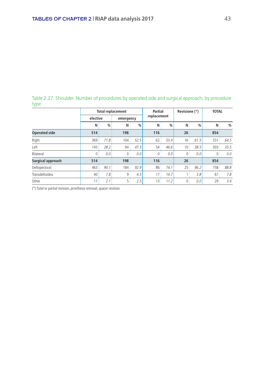Table 2.27. Shoulder. Number of procedures by operated side and surgical approach, by procedure type

|                      |             |      | <b>Total replacement</b> | Partial |          | Revisione (*) |    | <b>TOTAL</b>  |          |      |  |
|----------------------|-------------|------|--------------------------|---------|----------|---------------|----|---------------|----------|------|--|
|                      | elective    |      | emergency                |         |          | replacement   |    |               |          |      |  |
|                      | N           | %    | N                        | %       | N        | $\frac{0}{0}$ | N  | $\frac{0}{0}$ | N        | %    |  |
| <b>Operated side</b> | 514         |      | 198                      |         | 116      |               | 26 |               | 854      |      |  |
| Right                | 369         | 71.8 | 104                      | 52.5    | 62       | 53.4          | 16 | 61.5          | 551      | 64.5 |  |
| Left                 | 145         | 28.2 | 94                       | 47.5    | 54       | 46.6          | 10 | 38.5          | 303      | 35.5 |  |
| Bilateral            | $\mathbf 0$ | 0.0  | $\Omega$                 | 0.0     | $\Omega$ | 0.0           | 0  | 0.0           | $\Omega$ | 0.0  |  |
| Surgical approach    | 514         |      | 198                      |         | 116      |               | 26 |               | 854      |      |  |
| Deltopectoral        | 463         | 90.1 | 184                      | 92.9    | 86       | 74.1          | 25 | 96.2          | 758      | 88.8 |  |
| Transdeltoidea       | 40          | 7.8  | 9                        | 4.5     | 17       | 14.7          |    | 3.8           | 67       | 7.8  |  |
| Other                | 11          | 2.1  | 5                        | 2.5     | 13       | 11.2          | 0  | 0.0           | 29       | 3.4  |  |

(\*) Total or partial revision, prosthesis removal, spacer revision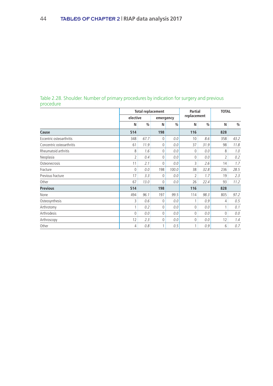|           |  | Table 2.28. Shoulder. Number of primary procedures by indication for surgery and previous |  |  |
|-----------|--|-------------------------------------------------------------------------------------------|--|--|
| procedure |  |                                                                                           |  |  |

|                           |                |      | <b>Total replacement</b> |       | <b>Partial</b><br>replacement |      | <b>TOTAL</b>   |      |
|---------------------------|----------------|------|--------------------------|-------|-------------------------------|------|----------------|------|
|                           | elective       |      | emergency                |       |                               |      |                |      |
|                           | N              | %    | N                        | %     | N                             | %    | N              | %    |
| Cause                     | 514            |      | 198                      |       | 116                           |      | 828            |      |
| Eccentric osteoarthritis  | 348            | 67.7 | $\Omega$                 | 0.0   | 10                            | 8.6  | 358            | 43.2 |
| Concentric osteoarthritis | 61             | 11.9 | 0                        | 0.0   | 37                            | 31.9 | 98             | 11.8 |
| Rheumatoid arthritis      | 8              | 1.6  | $\Omega$                 | 0.0   | $\Omega$                      | 0.0  | 8              | 1.0  |
| Neoplasia                 | $\overline{2}$ | 0.4  | 0                        | 0.0   | 0                             | 0.0  | $\overline{2}$ | 0.2  |
| Osteonecrosis             | 11             | 2.1  | $\Omega$                 | 0.0   | 3                             | 2.6  | 14             | 1.7  |
| Fracture                  | $\Omega$       | 0.0  | 198                      | 100.0 | 38                            | 32.8 | 236            | 28.5 |
| Previous fracture         | 17             | 3.3  | $\Omega$                 | 0.0   | 2                             | 1.7  | 19             | 2.3  |
| Other                     | 67             | 13.0 | $\Omega$                 | 0.0   | 26                            | 22.4 | 93             | 11.2 |
| <b>Previous</b>           | 514            |      | 198                      |       | 116                           |      | 828            |      |
| None                      | 494            | 96.1 | 197                      | 99.5  | 114                           | 98.3 | 805            | 97.2 |
| Osteosynthesis            | 3              | 0.6  | $\mathbf 0$              | 0.0   |                               | 0.9  | 4              | 0.5  |
| Arthrotomy                | 1              | 0.2  | $\Omega$                 | 0.0   | 0                             | 0.0  |                | 0.1  |
| Arthrodesis               | $\Omega$       | 0.0  | 0                        | 0.0   | $\mathbf{0}$                  | 0.0  | $\Omega$       | 0.0  |
| Arthroscopy               | 12             | 2.3  | 0                        | 0.0   | $\Omega$                      | 0.0  | 12             | 1.4  |
| Other                     | 4              | 0.8  | 1                        | 0.5   | 1                             | 0.9  | 6              | 0.7  |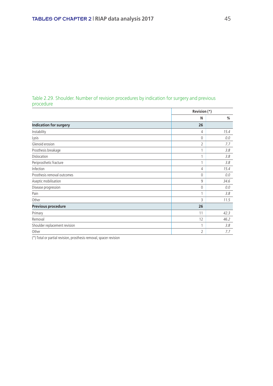#### Table 2.29. Shoulder. Number of revision procedures by indication for surgery and previous procedure

|                               | Revision (*) |      |
|-------------------------------|--------------|------|
|                               | N            | %    |
| <b>Indication for surgery</b> | 26           |      |
| Instability                   | 4            | 15.4 |
| Lysis                         | $\mathbf{0}$ | 0.0  |
| Glenoid erosion               | 2            | 7.7  |
| Prosthesis breakage           |              | 3.8  |
| Dislocation                   |              | 3.8  |
| Periprosthetic fracture       |              | 3.8  |
| Infection                     | 4            | 15.4 |
| Prosthesis removal outcomes   | $\mathbf{0}$ | 0.0  |
| Aseptic mobilisation          | 9            | 34.6 |
| Disease progression           | $\Omega$     | 0.0  |
| Pain                          |              | 3.8  |
| Other                         | 3            | 11.5 |
| Previous procedure            | 26           |      |
| Primary                       | 11           | 42.3 |
| Removal                       | 12           | 46.2 |
| Shoulder replacement revision |              | 3.8  |
| Other                         | 2            | 7.7  |

(\*) Total or partial revision, prosthesis removal, spacer revision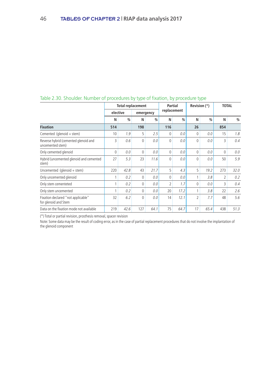|                                                            | <b>Total replacement</b> |      |              |               | Partial        |               | Revision (*) |               | <b>TOTAL</b> |      |
|------------------------------------------------------------|--------------------------|------|--------------|---------------|----------------|---------------|--------------|---------------|--------------|------|
|                                                            | elective                 |      | emergency    |               | replacement    |               |              |               |              |      |
|                                                            | N                        | %    | N            | $\frac{0}{0}$ | N              | $\frac{0}{0}$ | N            | $\frac{0}{0}$ | N            | $\%$ |
| <b>Fixation</b>                                            | 514                      |      | 198          |               | 116            |               | 26           |               | 854          |      |
| Cemented (glenoid + stem)                                  | 10                       | 1.9  | 5            | 2.5           | $\Omega$       | 0.0           | $\Omega$     | 0.0           | 15           | 1.8  |
| Reverse hybrid (cemented glenoid and<br>uncemented stem)   | 3                        | 0.6  | $\mathbf 0$  | 0.0           | $\Omega$       | 0.0           | $\theta$     | 0.0           | 3            | 0.4  |
| Only cemented glenoid                                      | 0                        | 0.0  | 0            | 0.0           | $\Omega$       | 0.0           | $\Omega$     | 0.0           | $\Omega$     | 0.0  |
| Hybrid (uncemented glenoid and cemented<br>stem)           | 27                       | 5.3  | 23           | 11.6          | $\Omega$       | 0.0           | $\theta$     | 0.0           | 50           | 5.9  |
| Uncemented (glenoid $+$ stem)                              | 220                      | 42.8 | 43           | 21.7          | 5              | 4.3           | 5            | 19.2          | 273          | 32.0 |
| Only uncemented glenoid                                    |                          | 0.2  | 0            | 0.0           | $\Omega$       | 0.0           | 1            | 3.8           | 2            | 0.2  |
| Only stem cementeted                                       | 1                        | 0.2  | 0            | 0.0           | $\overline{2}$ | 1.7           | $\theta$     | 0.0           | 3            | 0.4  |
| Only stem uncemented                                       |                          | 0.2  | $\mathbf{0}$ | 0.0           | 20             | 17.2          | 1            | 3.8           | 22           | 2.6  |
| Fixation declared "not applicable"<br>for glenoid and Stem | 32                       | 6.2  | 0            | 0.0           | 14             | 12.1          | 2            | 7.7           | 48           | 5.6  |
| Data on the fixation mode not available                    | 219                      | 42.6 | 127          | 64.1          | 75             | 64.7          | 17           | 65.4          | 438          | 51.3 |

#### Table 2.30. Shoulder. Number of procedures by type of fixation, by procedure type

(\*) Total or partial revision, prosthesis removal, spacer revision

Note: Some data may be the result of coding error, as in the case of partial replacement procedures that do not involve the implantation of the glenoid component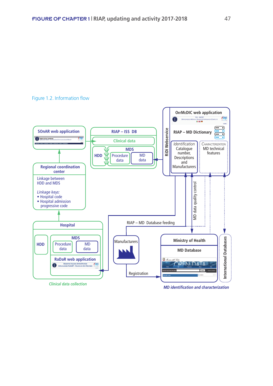#### Figure 1.2. Information flow



*MD identification and characterization*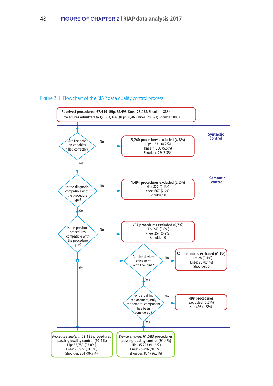#### Figure 2.1. Flowchart of the RIAP data quality control process

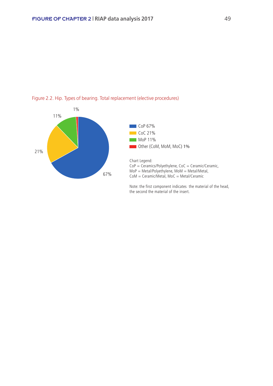



Note: the first component indicates the material of the head, the second the material of the insert.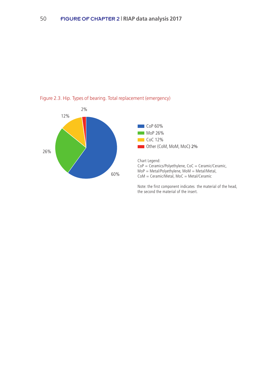



Note: the first component indicates the material of the head, the second the material of the insert.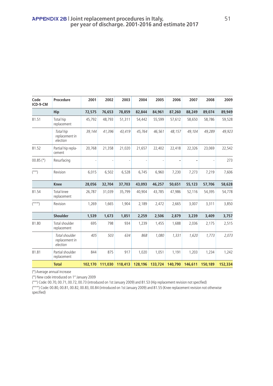| Code<br>ICD-9-CM | Procedure                                    | 2001    | 2002    | 2003    | 2004    | 2005    | 2006    | 2007    | 2008    | 2009    |
|------------------|----------------------------------------------|---------|---------|---------|---------|---------|---------|---------|---------|---------|
|                  | Hip                                          | 72,575  | 76,653  | 78,859  | 82,844  | 84,961  | 87,260  | 88,249  | 89,074  | 89,949  |
| 81.51            | Total hip<br>replacement                     | 45,792  | 48.793  | 51,311  | 54,442  | 55,599  | 57,612  | 58,650  | 58,786  | 59,528  |
|                  | Total hip<br>replacement in<br>election      | 39,144  | 41,396  | 43,419  | 45,764  | 46,561  | 48,157  | 49,104  | 49,289  | 49,923  |
| 81.52            | Partial hip repla-<br>cement                 | 20.768  | 21,358  | 21,020  | 21,657  | 22,402  | 22,418  | 22,326  | 23,069  | 22,542  |
| $00.85$ (*)      | Resurfacing                                  |         |         |         |         |         |         |         |         | 273     |
| $(**)$           | Revision                                     | 6,015   | 6,502   | 6,528   | 6,745   | 6,960   | 7,230   | 7,273   | 7,219   | 7,606   |
|                  | <b>Knee</b>                                  | 28,056  | 32,704  | 37,703  | 43,093  | 46,257  | 50,651  | 55,123  | 57,706  | 58,628  |
| 81.54            | <b>Total knee</b><br>replacement             | 26,787  | 31,039  | 35,799  | 40.904  | 43,785  | 47,986  | 52,116  | 54,395  | 54,778  |
| $(* * * )$       | Revision                                     | 1,269   | 1.665   | 1,904   | 2,189   | 2,472   | 2.665   | 3,007   | 3,311   | 3,850   |
|                  | <b>Shoulder</b>                              | 1,539   | 1,673   | 1,851   | 2,259   | 2,506   | 2,879   | 3,239   | 3,409   | 3,757   |
| 81.80            | Total shoulder<br>replacement                | 695     | 798     | 934     | 1,239   | 1,455   | 1,688   | 2,036   | 2,175   | 2,515   |
|                  | Total shoulder<br>replacement in<br>election | 405     | 503     | 634     | 868     | 1,080   | 1,331   | 1,620   | 1,773   | 2,073   |
| 81.81            | Partial shoulder<br>replacement              | 844     | 875     | 917     | 1,020   | 1,051   | 1,191   | 1,203   | 1,234   | 1,242   |
|                  | <b>Total</b>                                 | 102,170 | 111.030 | 118,413 | 128,196 | 133,724 | 140,790 | 146,611 | 150.189 | 152,334 |

(°) Average annual increase

(\*) New code introduced on 1st January 2009

(\*\*) Code: 00.70, 00.71, 00.72, 00.73 (introduced on 1st January 2009) and 81.53 (Hip replacement revision not specified)

(\*\*\*) Code: 00.80, 00.81, 00.82, 00.83, 00.84 (introduced on 1st January 2009) and 81.55 (Knee replacement revision not otherwise specified)